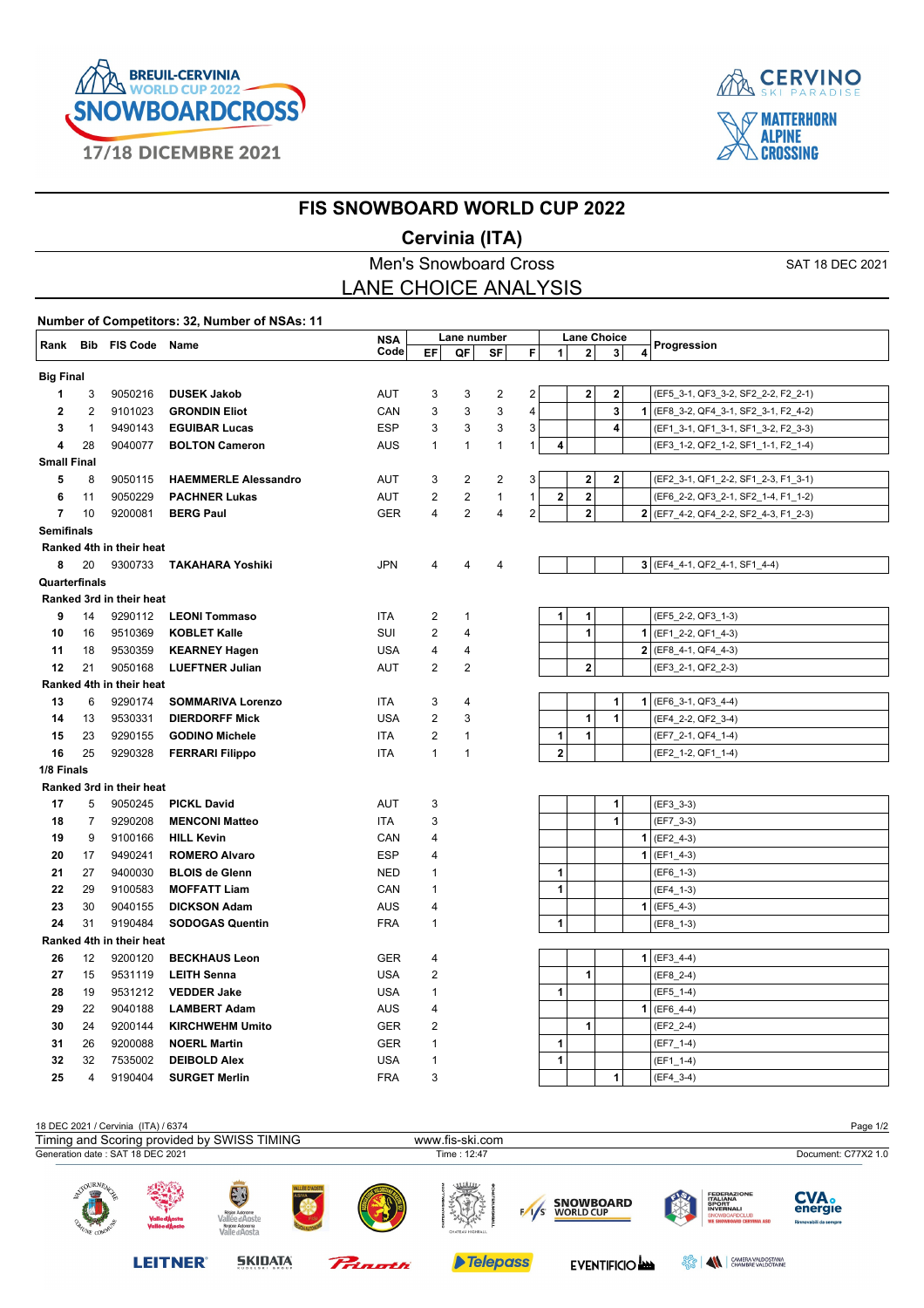



## **FIS SNOWBOARD WORLD CUP 2022**

## **Cervinia (ITA)**

|                    |        |                          |                                               | <b>Men's Snowboard Cross</b> |                |                |              |   |              |                |                | SAT 18 DEC 2021                       |
|--------------------|--------|--------------------------|-----------------------------------------------|------------------------------|----------------|----------------|--------------|---|--------------|----------------|----------------|---------------------------------------|
|                    |        |                          |                                               | <b>LANE CHOICE ANALYSIS</b>  |                |                |              |   |              |                |                |                                       |
|                    |        |                          | Number of Competitors: 32, Number of NSAs: 11 |                              |                |                |              |   |              |                |                |                                       |
|                    |        | Rank Bib FIS Code Name   |                                               | <b>NSA</b>                   |                | Lane number    |              |   |              |                | Lane Choice    | Progression                           |
|                    |        |                          |                                               | Code                         | EF             | QF             | SF           | F | $\mathbf{1}$ | 2 <sup>1</sup> | 3 <sup>1</sup> |                                       |
| <b>Big Final</b>   |        |                          |                                               |                              |                |                |              |   |              |                |                |                                       |
| 1                  | 3      | 9050216                  | <b>DUSEK Jakob</b>                            | AUT                          | 3              | 3              | 2            | 2 |              | $\mathbf 2$    | $\mathbf 2$    | (EF5_3-1, QF3_3-2, SF2_2-2, F2_2-1)   |
| 2                  | 2      | 9101023                  | <b>GRONDIN Eliot</b>                          | CAN                          | 3              | 3              | 3            | 4 |              |                | 3              | 1 (EF8_3-2, QF4_3-1, SF2_3-1, F2_4-2) |
| 3                  | 1      | 9490143                  | <b>EGUIBAR Lucas</b>                          | <b>ESP</b>                   | 3              | 3              | 3            | 3 |              |                | 4              | (EF1_3-1, QF1_3-1, SF1_3-2, F2_3-3)   |
| 4                  | 28     | 9040077                  | <b>BOLTON Cameron</b>                         | AUS                          | $\mathbf{1}$   | $\mathbf{1}$   | $\mathbf{1}$ | 1 | 4            |                |                | (EF3_1-2, QF2_1-2, SF1_1-1, F2_1-4)   |
| <b>Small Final</b> |        |                          |                                               |                              |                |                |              |   |              |                |                |                                       |
| 5                  | 8      | 9050115                  | <b>HAEMMERLE Alessandro</b>                   | AUT                          | 3              | 2              | 2            | 3 |              | $\mathbf 2$    | $\mathbf 2$    | (EF2_3-1, QF1_2-2, SF1_2-3, F1_3-1)   |
| 6                  | 11     | 9050229                  | <b>PACHNER Lukas</b>                          | AUT                          | 2              | 2              | 1            | 1 | 2            | $\mathbf 2$    |                | (EF6_2-2, QF3_2-1, SF2_1-4, F1_1-2)   |
| $\overline{7}$     | 10     | 9200081                  | <b>BERG Paul</b>                              | <b>GER</b>                   | 4              | $\overline{2}$ | 4            | 2 |              | $\mathbf 2$    |                | 2 (EF7_4-2, QF4_2-2, SF2_4-3, F1_2-3) |
| Semifinals         |        |                          |                                               |                              |                |                |              |   |              |                |                |                                       |
|                    |        | Ranked 4th in their heat |                                               |                              |                |                |              |   |              |                |                |                                       |
| 8                  | 20     | 9300733                  | TAKAHARA Yoshiki                              | <b>JPN</b>                   | 4              | 4              | 4            |   |              |                |                | $3$ (EF4_4-1, QF2_4-1, SF1_4-4)       |
| Quarterfinals      |        |                          |                                               |                              |                |                |              |   |              |                |                |                                       |
|                    |        | Ranked 3rd in their heat |                                               |                              |                |                |              |   |              |                |                |                                       |
| 9                  | 14     | 9290112                  | <b>LEONI Tommaso</b>                          | <b>ITA</b>                   | $\overline{2}$ | 1              |              |   | 1            | 1              |                | (EF5_2-2, QF3_1-3)                    |
| 10                 | 16     | 9510369                  | <b>KOBLET Kalle</b>                           | SUI                          | $\overline{2}$ | 4              |              |   |              | 1              |                | 1 (EF1_2-2, QF1_4-3)                  |
| 11                 | 18     | 9530359                  | <b>KEARNEY Hagen</b>                          | <b>USA</b>                   | 4              | 4              |              |   |              |                |                | $2$ (EF8_4-1, QF4_4-3)                |
| 12                 | 21     | 9050168                  | <b>LUEFTNER Julian</b>                        | AUT                          | $\overline{2}$ | 2              |              |   |              | 2              |                | (EF3_2-1, QF2_2-3)                    |
|                    |        | Ranked 4th in their heat |                                               |                              |                |                |              |   |              |                |                |                                       |
| 13                 | 6      | 9290174                  | <b>SOMMARIVA Lorenzo</b>                      | <b>ITA</b>                   | 3              | 4              |              |   |              |                | 1              | $1$ (EF6_3-1, QF3_4-4)                |
| 14                 | 13     | 9530331                  | <b>DIERDORFF Mick</b>                         | <b>USA</b>                   | $\overline{2}$ | 3              |              |   |              | 1              | 1              | (EF4_2-2, QF2_3-4)                    |
| 15                 | 23     | 9290155                  | <b>GODINO Michele</b>                         | ITA                          | 2              | 1              |              |   | 1            | 1              |                | (EF7_2-1, QF4_1-4)                    |
| 16                 | 25     | 9290328                  | <b>FERRARI Filippo</b>                        | <b>ITA</b>                   | $\mathbf{1}$   | $\mathbf 1$    |              |   | $\mathbf 2$  |                |                | (EF2_1-2, QF1_1-4)                    |
| 1/8 Finals         |        |                          |                                               |                              |                |                |              |   |              |                |                |                                       |
|                    |        | Ranked 3rd in their heat |                                               |                              |                |                |              |   |              |                | 1              |                                       |
| 17<br>18           | 5<br>7 | 9050245<br>9290208       | <b>PICKL David</b><br><b>MENCONI Matteo</b>   | AUT<br><b>ITA</b>            | 3<br>3         |                |              |   |              |                | 1              | (EF3_3-3)<br>(EF7_3-3)                |
| 19                 | 9      | 9100166                  | <b>HILL Kevin</b>                             | CAN                          | 4              |                |              |   |              |                |                | $1$ (EF2_4-3)                         |
| 20                 | 17     | 9490241                  | <b>ROMERO Alvaro</b>                          | <b>ESP</b>                   | 4              |                |              |   |              |                |                | $1$ (EF1_4-3)                         |
| 21                 | 27     | 9400030                  | <b>BLOIS de Glenn</b>                         | <b>NED</b>                   | 1              |                |              |   | 1            |                |                | (EF6_1-3)                             |
| 22                 | 29     | 9100583                  | <b>MOFFATT Liam</b>                           | CAN                          | $\mathbf{1}$   |                |              |   | 1            |                |                | $(EF4_1-3)$                           |
| 23                 | 30     | 9040155                  | <b>DICKSON Adam</b>                           | AUS                          | 4              |                |              |   |              |                |                | $1$ (EF5_4-3)                         |
| 24                 | 31     | 9190484                  | <b>SODOGAS Quentin</b>                        | <b>FRA</b>                   | 1              |                |              |   | 1            |                |                | (EF8_1-3)                             |
|                    |        | Ranked 4th in their heat |                                               |                              |                |                |              |   |              |                |                |                                       |
| 26                 | 12     | 9200120                  | <b>BECKHAUS Leon</b>                          | GER                          | 4              |                |              |   |              |                |                | $1$ (EF3_4-4)                         |
| 27                 | 15     | 9531119                  | <b>LEITH Senna</b>                            | <b>USA</b>                   | 2              |                |              |   |              | 1              |                | (EF8 2-4)                             |
| 28                 | 19     | 9531212                  | <b>VEDDER Jake</b>                            | <b>USA</b>                   | 1              |                |              |   | 1            |                |                | (EF5_1-4)                             |
| 29                 | 22     | 9040188                  | <b>LAMBERT Adam</b>                           | AUS                          | 4              |                |              |   |              |                |                | $1$ (EF6_4-4)                         |
| 30                 | 24     | 9200144                  | <b>KIRCHWEHM Umito</b>                        | <b>GER</b>                   | 2              |                |              |   |              | 1              |                | (EF2_2-4)                             |
| 31                 | 26     | 9200088                  | <b>NOERL Martin</b>                           | GER                          | 1              |                |              |   | 1            |                |                | (EF7_1-4)                             |
| 32                 | 32     | 7535002                  | <b>DEIBOLD Alex</b>                           | <b>USA</b>                   | 1              |                |              |   | 1            |                |                | (EF1_1-4)                             |
| 25                 | 4      | 9190404                  | <b>SURGET Merlin</b>                          | <b>FRA</b>                   | 3              |                |              |   |              |                | 1              | (EF4_3-4)                             |

| 18 DEC 2021 / Cervinia (ITA) / 6374         |                                 |                                                                             |                    |         |                        |     |                                      |        |                                                                                                             | Page 1/2                                        |
|---------------------------------------------|---------------------------------|-----------------------------------------------------------------------------|--------------------|---------|------------------------|-----|--------------------------------------|--------|-------------------------------------------------------------------------------------------------------------|-------------------------------------------------|
| Timing and Scoring provided by SWISS TIMING |                                 |                                                                             |                    |         | www.fis-ski.com        |     |                                      |        |                                                                                                             |                                                 |
| Generation date: SAT 18 DEC 2021            |                                 |                                                                             |                    |         | Time: 12:47            |     |                                      |        |                                                                                                             | Document: C77X2 1.0                             |
| OURNEA<br><b>TOP</b>                        | Valle d'Àosta<br>Vallée d'Àoste | E<br>Région Autonome<br>Vallée d'Aoste<br>Regione Autonoma<br>Valle d'Aosta | <b>LLÉE D'AOST</b> |         | سس<br>CHATEAU HIGHBALL | 1/s | <b>SNOWBOARD</b><br><b>WORLD CUP</b> |        | <b>FEDERAZIONE</b><br><b>ITALIANA<br/>SPORT<br/>INVERNALI</b><br>SNOWBOARDCLUB<br>We Snowboard Cervinia ASD | <b>CVA.</b><br>energie<br>Rinnovabili da sempre |
|                                             | <b>LEITNER</b>                  | <b>SKIDATA</b><br>CUDELSKI GROUP                                            |                    | Pringth | <b>Telepass</b>        |     | <b>EVENTIFICIO AND</b>               | ಕ್ಷ್ಮೇ | CAMERA VALDOSTANA<br>CHAMBRE VALDÒTAINE                                                                     |                                                 |